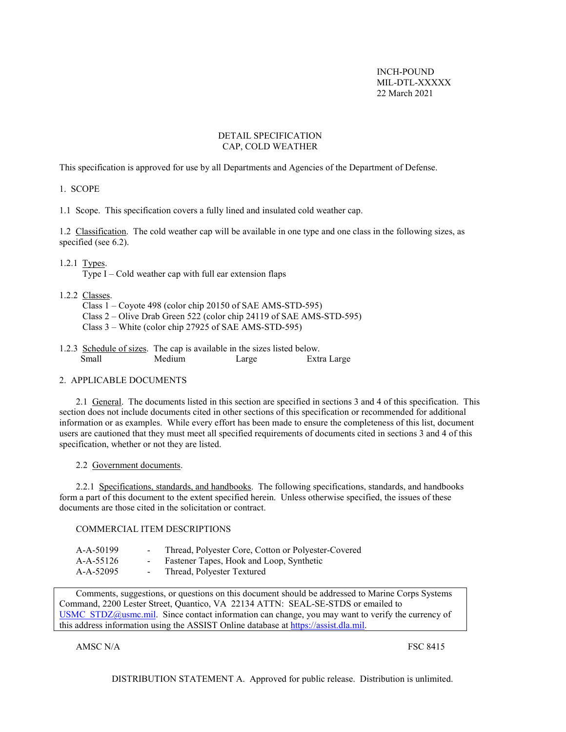INCH-POUND MIL-DTL-XXXXX 22 March 2021

### DETAIL SPECIFICATION CAP, COLD WEATHER

This specification is approved for use by all Departments and Agencies of the Department of Defense.

1. SCOPE

<span id="page-0-0"></span>1.1 Scope. This specification covers a fully lined and insulated cold weather cap.

1.2 Classification. The cold weather cap will be available in one type and one class in the following sizes, as specified (see 6.2).

1.2.1 Types.

Type I – Cold weather cap with full ear extension flaps

- 1.2.2 Classes.
	- Class 1 Coyote 498 (color chip 20150 of SAE AMS-STD-595)
	- Class 2 Olive Drab Green 522 (color chip 24119 of SAE AMS-STD-595)
	- Class 3 White (color chip 27925 of SAE AMS-STD-595)
- 1.2.3 Schedule of sizes. The cap is available in the sizes listed below. Small Medium Large Extra Large

#### 2. APPLICABLE DOCUMENTS

2.1 General. The documents listed in this section are specified in sections 3 and 4 of this specification. This section does not include documents cited in other sections of this specification or recommended for additional information or as examples. While every effort has been made to ensure the completeness of this list, document users are cautioned that they must meet all specified requirements of documents cited in sections 3 and 4 of this specification, whether or not they are listed.

#### 2.2 Government documents.

2.2.1 Specifications, standards, and handbooks. The following specifications, standards, and handbooks form a part of this document to the extent specified herein. Unless otherwise specified, the issues of these documents are those cited in the solicitation or contract.

#### COMMERCIAL ITEM DESCRIPTIONS

| A-A-50199 | Thread, Polyester Core, Cotton or Polyester-Covered |
|-----------|-----------------------------------------------------|
| A-A-55126 | Fastener Tapes, Hook and Loop, Synthetic            |
| A-A-52095 | Thread, Polyester Textured                          |

Comments, suggestions, or questions on this document should be addressed to Marine Corps Systems Command, 2200 Lester Street, Quantico, VA 22134 ATTN: SEAL-SE-STDS or emailed to [USMC\\_STDZ@usmc.mil.](mailto:USMC_STDZ@usmc.mil) Since contact information can change, you may want to verify the currency of this address information using the ASSIST Online database at https://assist.dla.mil.

AMSC N/A FSC 8415

DISTRIBUTION STATEMENT A. Approved for public release. Distribution is unlimited.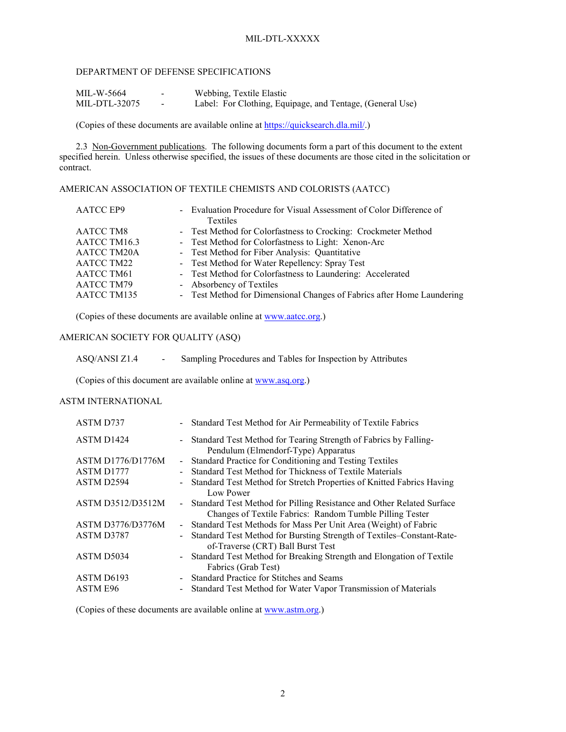## DEPARTMENT OF DEFENSE SPECIFICATIONS

| MIL-W-5664    | $\sim$ | Webbing, Textile Elastic                                  |
|---------------|--------|-----------------------------------------------------------|
| MIL-DTL-32075 |        | Label: For Clothing, Equipage, and Tentage, (General Use) |

(Copies of these documents are available online at [https://quicksearch.dla.mil/.](https://quicksearch.dla.mil/))

2.3 Non-Government publications. The following documents form a part of this document to the extent specified herein. Unless otherwise specified, the issues of these documents are those cited in the solicitation or contract.

## AMERICAN ASSOCIATION OF TEXTILE CHEMISTS AND COLORISTS (AATCC)

| <b>AATCC EP9</b>   | - Evaluation Procedure for Visual Assessment of Color Difference of    |
|--------------------|------------------------------------------------------------------------|
|                    | Textiles                                                               |
| <b>AATCC TM8</b>   | - Test Method for Colorfastness to Crocking: Crockmeter Method         |
| AATCC TM16.3       | - Test Method for Colorfastness to Light: Xenon-Arc                    |
| <b>AATCC TM20A</b> | - Test Method for Fiber Analysis: Quantitative                         |
| AATCC TM22         | - Test Method for Water Repellency: Spray Test                         |
| AATCC TM61         | - Test Method for Colorfastness to Laundering: Accelerated             |
| AATCC TM79         | - Absorbency of Textiles                                               |
| AATCC TM135        | - Test Method for Dimensional Changes of Fabrics after Home Laundering |

(Copies of these documents are available online at [www.aatcc.org.](http://www.aatcc.org/))

## AMERICAN SOCIETY FOR QUALITY (ASQ)

ASQ/ANSI Z1.4 - Sampling Procedures and Tables for Inspection by Attributes

(Copies of this document are available online at www.asq.org.)

#### ASTM INTERNATIONAL

| ASTM D737         |        | - Standard Test Method for Air Permeability of Textile Fabrics                                                                      |
|-------------------|--------|-------------------------------------------------------------------------------------------------------------------------------------|
| ASTM D1424        |        | - Standard Test Method for Tearing Strength of Fabrics by Falling-<br>Pendulum (Elmendorf-Type) Apparatus                           |
| ASTM D1776/D1776M | $\sim$ | Standard Practice for Conditioning and Testing Textiles                                                                             |
| ASTM D1777        |        | Standard Test Method for Thickness of Textile Materials                                                                             |
| ASTM D2594        |        | Standard Test Method for Stretch Properties of Knitted Fabrics Having<br>Low Power                                                  |
| ASTM D3512/D3512M |        | - Standard Test Method for Pilling Resistance and Other Related Surface<br>Changes of Textile Fabrics: Random Tumble Pilling Tester |
| ASTM D3776/D3776M | $\sim$ | Standard Test Methods for Mass Per Unit Area (Weight) of Fabric                                                                     |
| ASTM D3787        |        | Standard Test Method for Bursting Strength of Textiles-Constant-Rate-<br>of-Traverse (CRT) Ball Burst Test                          |
| ASTM D5034        |        | - Standard Test Method for Breaking Strength and Elongation of Textile<br>Fabrics (Grab Test)                                       |
| ASTM D6193        |        | - Standard Practice for Stitches and Seams                                                                                          |
| ASTM E96          |        | Standard Test Method for Water Vapor Transmission of Materials                                                                      |

(Copies of these documents are available online at [www.astm.org.](http://www.astm.org/))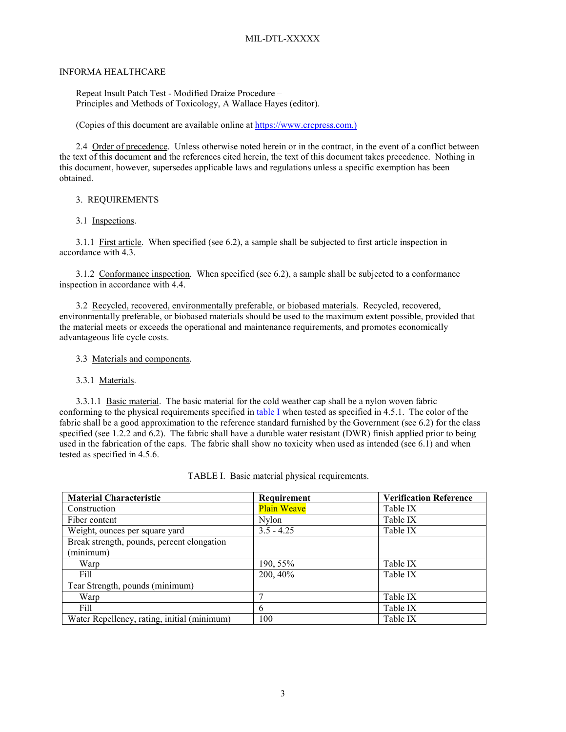#### INFORMA HEALTHCARE

Repeat Insult Patch Test - Modified Draize Procedure – Principles and Methods of Toxicology, A Wallace Hayes (editor).

(Copies of this document are available online at https://www.crcpress.com.)

2.4 Order of precedence. Unless otherwise noted herein or in the contract, in the event of a conflict between the text of this document and the references cited herein, the text of this document takes precedence. Nothing in this document, however, supersedes applicable laws and regulations unless a specific exemption has been obtained.

#### 3. REQUIREMENTS

#### 3.1 Inspections.

3.1.1 First article. When specified (see 6.2), a sample shall be subjected to first article inspection in accordance with 4.3.

3.1.2 Conformance inspection. When specified (see 6.2), a sample shall be subjected to a conformance inspection in accordance with [4.4.](#page-9-0)

3.2 Recycled, recovered, environmentally preferable, or biobased materials. Recycled, recovered, environmentally preferable, or biobased materials should be used to the maximum extent possible, provided that the material meets or exceeds the operational and maintenance requirements, and promotes economically advantageous life cycle costs.

#### 3.3 Materials and components.

#### 3.3.1 Materials.

3.3.1.1 Basic material. The basic material for the cold weather cap shall be a nylon woven fabric conforming to the physical requirements specified in table I when tested as specified in [4.5.1.](#page-9-1) The color of the fabric shall be a good approximation to the reference standard furnished by the Government (see 6.2) for the class specified (see 1.2.2 and 6.2). The fabric shall have a durable water resistant (DWR) finish applied prior to being used in the fabrication of the caps. The fabric shall show no toxicity when used as intended (see 6.1) and when tested as specified in 4.5.6.

| <b>Material Characteristic</b>              | Requirement        | <b>Verification Reference</b> |
|---------------------------------------------|--------------------|-------------------------------|
| Construction                                | <b>Plain Weave</b> | Table IX                      |
| Fiber content                               | Nylon              | Table IX                      |
| Weight, ounces per square yard              | $3.5 - 4.25$       | Table IX                      |
| Break strength, pounds, percent elongation  |                    |                               |
| (minimum)                                   |                    |                               |
| Warp                                        | 190, 55%           | Table IX                      |
| Fill                                        | 200, 40%           | Table IX                      |
| Tear Strength, pounds (minimum)             |                    |                               |
| Warp                                        |                    | Table IX                      |
| Fill                                        | 6                  | Table IX                      |
| Water Repellency, rating, initial (minimum) | 100                | Table IX                      |

| TABLE I. Basic material physical requirements. |  |  |
|------------------------------------------------|--|--|
|                                                |  |  |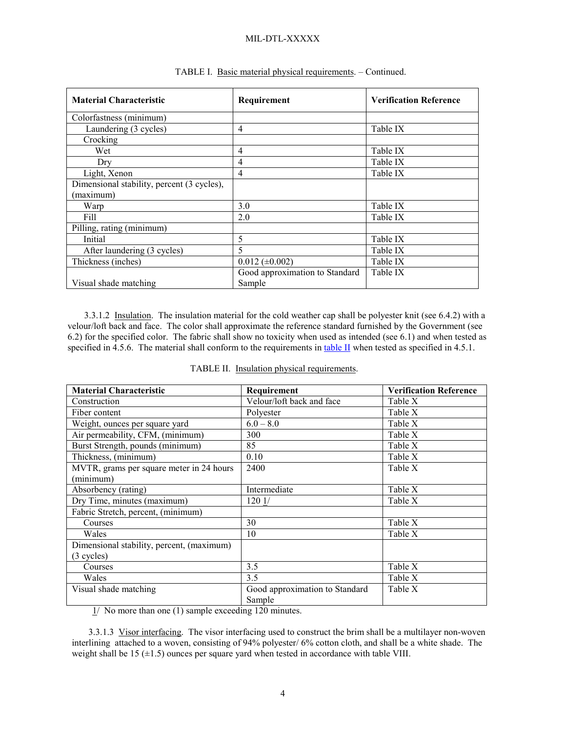| <b>Material Characteristic</b>             | Requirement                    | <b>Verification Reference</b> |
|--------------------------------------------|--------------------------------|-------------------------------|
| Colorfastness (minimum)                    |                                |                               |
| Laundering (3 cycles)                      | $\overline{4}$                 | Table IX                      |
| Crocking                                   |                                |                               |
| Wet                                        | 4                              | Table IX                      |
| Dry                                        | $\overline{4}$                 | Table IX                      |
| Light, Xenon                               | $\overline{4}$                 | Table IX                      |
| Dimensional stability, percent (3 cycles), |                                |                               |
| (maximum)                                  |                                |                               |
| Warp                                       | 3.0                            | Table IX                      |
| Fill                                       | 2.0                            | Table IX                      |
| Pilling, rating (minimum)                  |                                |                               |
| Initial                                    | 5                              | Table IX                      |
| After laundering (3 cycles)                | 5                              | Table IX                      |
| Thickness (inches)                         | $0.012 (\pm 0.002)$            | Table IX                      |
|                                            | Good approximation to Standard | Table IX                      |
| Visual shade matching                      | Sample                         |                               |

## TABLE I. Basic material physical requirements. – Continued.

3.3.1.2 Insulation. The insulation material for the cold weather cap shall be polyester knit (see 6.4.2) with a velour/loft back and face. The color shall approximate the reference standard furnished by the Government (see 6.2) for the specified color. The fabric shall show no toxicity when used as intended (see 6.1) and when tested as specified in 4.5.6. The material shall conform to the requirements in table II when tested as specified in [4.5.1.](#page-9-1)

| <b>Material Characteristic</b>            | Requirement                    | <b>Verification Reference</b> |
|-------------------------------------------|--------------------------------|-------------------------------|
| Construction                              | Velour/loft back and face      | Table X                       |
| Fiber content                             | Polyester                      | Table X                       |
| Weight, ounces per square yard            | $6.0 - 8.0$                    | Table X                       |
| Air permeability, CFM, (minimum)          | 300                            | Table X                       |
| Burst Strength, pounds (minimum)          | 85                             | Table X                       |
| Thickness, (minimum)                      | 0.10                           | Table X                       |
| MVTR, grams per square meter in 24 hours  | 2400                           | Table X                       |
| (minimum)                                 |                                |                               |
| Absorbency (rating)                       | Intermediate                   | Table X                       |
| Dry Time, minutes (maximum)               | 1201/                          | Table X                       |
| Fabric Stretch, percent, (minimum)        |                                |                               |
| Courses                                   | 30                             | Table X                       |
| Wales                                     | 10                             | Table X                       |
| Dimensional stability, percent, (maximum) |                                |                               |
| (3 cycles)                                |                                |                               |
| Courses                                   | 3.5                            | Table X                       |
| Wales                                     | 3.5                            | Table X                       |
| Visual shade matching                     | Good approximation to Standard | Table X                       |
|                                           | Sample                         |                               |

| TABLE II. Insulation physical requirements. |  |  |  |
|---------------------------------------------|--|--|--|
|                                             |  |  |  |

 $1/$  No more than one (1) sample exceeding 120 minutes.

3.3.1.3 Visor interfacing. The visor interfacing used to construct the brim shall be a multilayer non-woven interlining attached to a woven, consisting of 94% polyester/ 6% cotton cloth, and shall be a white shade. The weight shall be  $15$  ( $\pm$ 1.5) ounces per square yard when tested in accordance with table VIII.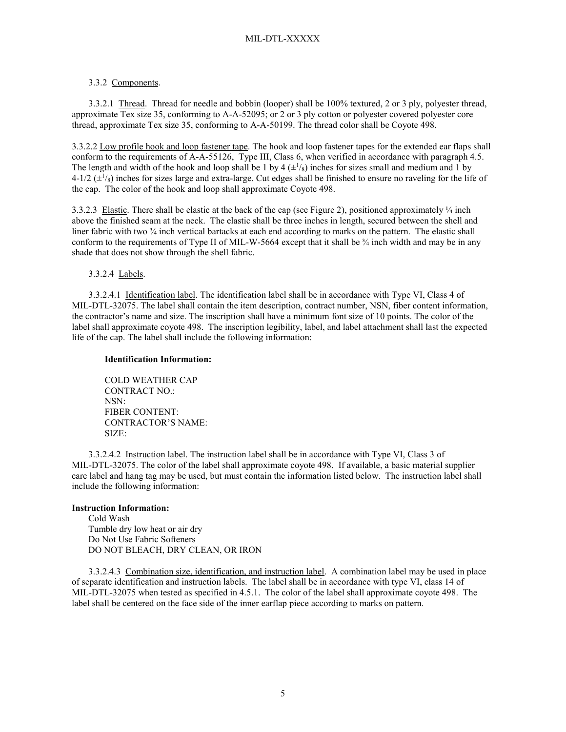## 3.3.2 Components.

3.3.2.1 Thread. Thread for needle and bobbin (looper) shall be 100% textured, 2 or 3 ply, polyester thread, approximate Tex size 35, conforming to A-A-52095; or 2 or 3 ply cotton or polyester covered polyester core thread, approximate Tex size 35, conforming to A-A-50199. The thread color shall be Coyote 498.

3.3.2.2 Low profile hook and loop fastener tape. The hook and loop fastener tapes for the extended ear flaps shall conform to the requirements of A-A-55126, Type III, Class 6, when verified in accordance with paragraph 4.5. The length and width of the hook and loop shall be 1 by 4  $(\pm \frac{1}{8})$  inches for sizes small and medium and 1 by  $4-1/2$  ( $\pm^{1}/8$ ) inches for sizes large and extra-large. Cut edges shall be finished to ensure no raveling for the life of the cap. The color of the hook and loop shall approximate Coyote 498.

3.3.2.3 Elastic. There shall be elastic at the back of the cap (see Figure 2), positioned approximately ¼ inch above the finished seam at the neck. The elastic shall be three inches in length, secured between the shell and liner fabric with two  $\frac{3}{4}$  inch vertical bartacks at each end according to marks on the pattern. The elastic shall conform to the requirements of Type II of MIL-W-5664 except that it shall be  $\frac{3}{4}$  inch width and may be in any shade that does not show through the shell fabric.

3.3.2.4 Labels.

3.3.2.4.1 Identification label. The identification label shall be in accordance with Type VI, Class 4 of MIL-DTL-32075. The label shall contain the item description, contract number, NSN, fiber content information, the contractor's name and size. The inscription shall have a minimum font size of 10 points. The color of the label shall approximate coyote 498. The inscription legibility, label, and label attachment shall last the expected life of the cap. The label shall include the following information:

#### **Identification Information:**

COLD WEATHER CAP CONTRACT NO.: NSN: FIBER CONTENT: CONTRACTOR'S NAME: SIZE:

3.3.2.4.2 Instruction label. The instruction label shall be in accordance with Type VI, Class 3 of MIL-DTL-32075. The color of the label shall approximate coyote 498. If available, a basic material supplier care label and hang tag may be used, but must contain the information listed below. The instruction label shall include the following information:

#### **Instruction Information:**

Cold Wash Tumble dry low heat or air dry Do Not Use Fabric Softeners DO NOT BLEACH, DRY CLEAN, OR IRON

3.3.2.4.3 Combination size, identification, and instruction label. A combination label may be used in place of separate identification and instruction labels. The label shall be in accordance with type VI, class 14 of MIL-DTL-32075 when tested as specified in [4.5.1.](#page-9-1) The color of the label shall approximate coyote 498. The label shall be centered on the face side of the inner earflap piece according to marks on pattern.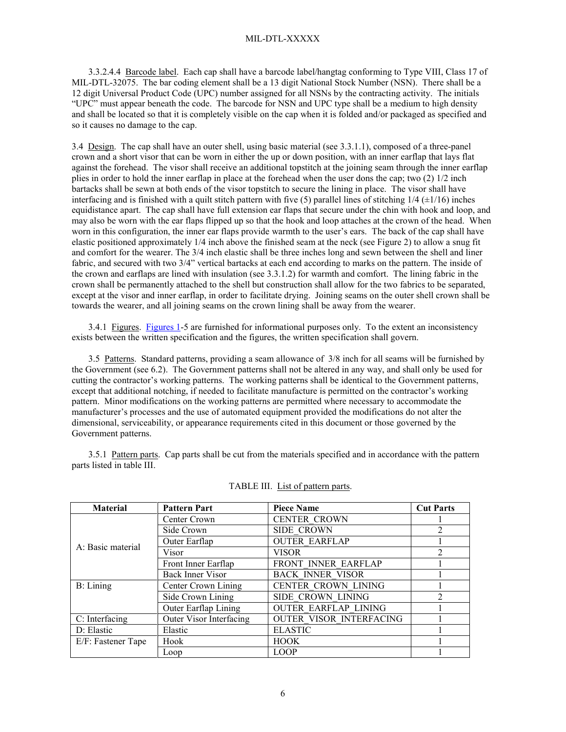3.3.2.4.4 Barcode label. Each cap shall have a barcode label/hangtag conforming to Type VIII, Class 17 of MIL-DTL-32075. The bar coding element shall be a 13 digit National Stock Number (NSN). There shall be a 12 digit Universal Product Code (UPC) number assigned for all NSNs by the contracting activity. The initials "UPC" must appear beneath the code. The barcode for NSN and UPC type shall be a medium to high density and shall be located so that it is completely visible on the cap when it is folded and/or packaged as specified and so it causes no damage to the cap.

3.4 Design. The cap shall have an outer shell, using basic material (see 3.3.1.1), composed of a three-panel crown and a short visor that can be worn in either the up or down position, with an inner earflap that lays flat against the forehead. The visor shall receive an additional topstitch at the joining seam through the inner earflap plies in order to hold the inner earflap in place at the forehead when the user dons the cap; two (2) 1/2 inch bartacks shall be sewn at both ends of the visor topstitch to secure the lining in place. The visor shall have interfacing and is finished with a quilt stitch pattern with five (5) parallel lines of stitching  $1/4$  ( $\pm 1/16$ ) inches equidistance apart. The cap shall have full extension ear flaps that secure under the chin with hook and loop, and may also be worn with the ear flaps flipped up so that the hook and loop attaches at the crown of the head. When worn in this configuration, the inner ear flaps provide warmth to the user's ears. The back of the cap shall have elastic positioned approximately 1/4 inch above the finished seam at the neck (see Figure 2) to allow a snug fit and comfort for the wearer. The 3/4 inch elastic shall be three inches long and sewn between the shell and liner fabric, and secured with two 3/4" vertical bartacks at each end according to marks on the pattern. The inside of the crown and earflaps are lined with insulation (see 3.3.1.2) for warmth and comfort. The lining fabric in the crown shall be permanently attached to the shell but construction shall allow for the two fabrics to be separated, except at the visor and inner earflap, in order to facilitate drying. Joining seams on the outer shell crown shall be towards the wearer, and all joining seams on the crown lining shall be away from the wearer.

3.4.1 Figures. [Figures 1-](#page-16-0)5 are furnished for informational purposes only. To the extent an inconsistency exists between the written specification and the figures, the written specification shall govern.

3.5 Patterns. Standard patterns, providing a seam allowance of 3/8 inch for all seams will be furnished by the Government (see 6.2). The Government patterns shall not be altered in any way, and shall only be used for cutting the contractor's working patterns. The working patterns shall be identical to the Government patterns, except that additional notching, if needed to facilitate manufacture is permitted on the contractor's working pattern. Minor modifications on the working patterns are permitted where necessary to accommodate the manufacturer's processes and the use of automated equipment provided the modifications do not alter the dimensional, serviceability, or appearance requirements cited in this document or those governed by the Government patterns.

3.5.1 Pattern parts. Cap parts shall be cut from the materials specified and in accordance with the pattern parts listed in table III.

| <b>Material</b>    | <b>Pattern Part</b>                         | <b>Piece Name</b>           | <b>Cut Parts</b> |
|--------------------|---------------------------------------------|-----------------------------|------------------|
|                    | Center Crown                                | <b>CENTER CROWN</b>         |                  |
|                    | Side Crown                                  | <b>SIDE CROWN</b>           |                  |
| A: Basic material  | Outer Earflap                               | <b>OUTER EARFLAP</b>        |                  |
|                    | Visor                                       | <b>VISOR</b>                | $\mathfrak{D}$   |
|                    | Front Inner Earflap                         | FRONT INNER EARFLAP         |                  |
|                    | <b>BACK INNER VISOR</b><br>Back Inner Visor |                             |                  |
| <b>B</b> : Lining  | Center Crown Lining                         | <b>CENTER CROWN LINING</b>  |                  |
|                    | Side Crown Lining                           | SIDE CROWN LINING           |                  |
|                    | Outer Earflap Lining                        | <b>OUTER EARFLAP LINING</b> |                  |
| C: Interfacing     | Outer Visor Interfacing                     | OUTER VISOR INTERFACING     |                  |
| D: Elastic         | Elastic                                     | <b>ELASTIC</b>              |                  |
| E/F: Fastener Tape | Hook                                        | <b>HOOK</b>                 |                  |
|                    | Loop                                        | <b>LOOP</b>                 |                  |

#### TABLE III. List of pattern parts.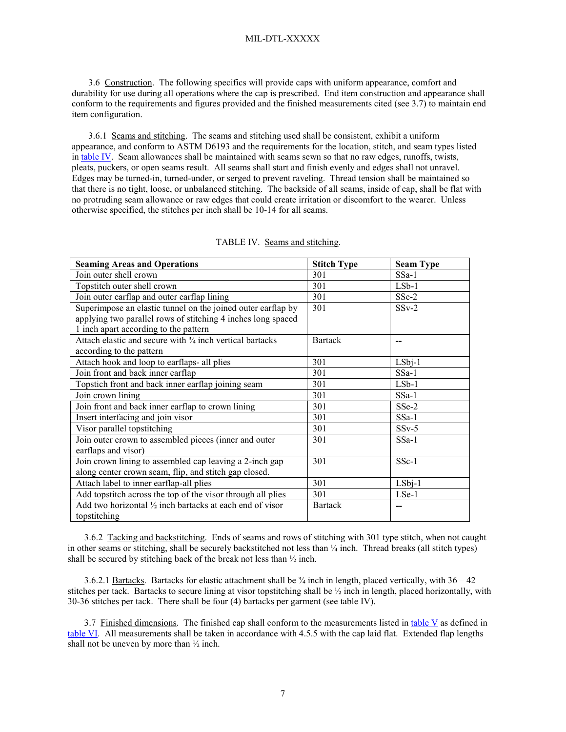3.6 Construction. The following specifics will provide caps with uniform appearance, comfort and durability for use during all operations where the cap is prescribed. End item construction and appearance shall conform to the requirements and figures provided and the finished measurements cited (see 3.7) to maintain end item configuration.

3.6.1 Seams and stitching. The seams and stitching used shall be consistent, exhibit a uniform appearance, and conform to ASTM D6193 and the requirements for the location, stitch, and seam types listed in table IV. Seam allowances shall be maintained with seams sewn so that no raw edges, runoffs, twists, pleats, puckers, or open seams result. All seams shall start and finish evenly and edges shall not unravel. Edges may be turned-in, turned-under, or serged to prevent raveling. Thread tension shall be maintained so that there is no tight, loose, or unbalanced stitching. The backside of all seams, inside of cap, shall be flat with no protruding seam allowance or raw edges that could create irritation or discomfort to the wearer. Unless otherwise specified, the stitches per inch shall be 10-14 for all seams.

| <b>Seaming Areas and Operations</b>                          | <b>Stitch Type</b> | <b>Seam Type</b> |
|--------------------------------------------------------------|--------------------|------------------|
| Join outer shell crown                                       | 301                | $SSa-1$          |
| Topstitch outer shell crown                                  | 301                | $LSb-1$          |
| Join outer earflap and outer earflap lining                  | 301                | $SSe-2$          |
| Superimpose an elastic tunnel on the joined outer earflap by | 301                | $SSv-2$          |
| applying two parallel rows of stitching 4 inches long spaced |                    |                  |
| 1 inch apart according to the pattern                        |                    |                  |
| Attach elastic and secure with 3/4 inch vertical bartacks    | <b>Bartack</b>     |                  |
| according to the pattern                                     |                    |                  |
| Attach hook and loop to earflaps- all plies                  | 301                | $LSbj-1$         |
| Join front and back inner earflap                            | 301                | $SSa-1$          |
| Topstich front and back inner earflap joining seam           | 301                | $LSb-1$          |
| Join crown lining                                            | 301                | $SSa-1$          |
| Join front and back inner earflap to crown lining            | 301                | $SSe-2$          |
| Insert interfacing and join visor                            | 301                | $SSa-1$          |
| Visor parallel topstitching                                  | 301                | $SSv-5$          |
| Join outer crown to assembled pieces (inner and outer        | 301                | $SSa-1$          |
| earflaps and visor)                                          |                    |                  |
| Join crown lining to assembled cap leaving a 2-inch gap      | 301                | $SSc-1$          |
| along center crown seam, flip, and stitch gap closed.        |                    |                  |
| Attach label to inner earflap-all plies                      | 301                | $LSbj-1$         |
| Add topstitch across the top of the visor through all plies  | 301                | $LSe-1$          |
| Add two horizontal 1/2 inch bartacks at each end of visor    | Bartack            |                  |
| topstitching                                                 |                    |                  |

#### TABLE IV. Seams and stitching.

3.6.2 Tacking and backstitching. Ends of seams and rows of stitching with 301 type stitch, when not caught in other seams or stitching, shall be securely backstitched not less than  $\frac{1}{4}$  inch. Thread breaks (all stitch types) shall be secured by stitching back of the break not less than  $\frac{1}{2}$  inch.

3.6.2.1 Bartacks. Bartacks for elastic attachment shall be  $\frac{3}{4}$  inch in length, placed vertically, with  $36 - 42$ stitches per tack. Bartacks to secure lining at visor topstitching shall be  $\frac{1}{2}$  inch in length, placed horizontally, with 30-36 stitches per tack. There shall be four (4) bartacks per garment (see table IV).

3.7 Finished dimensions. The finished cap shall conform to the measurements listed in table V as defined in table VI. All measurements shall be taken in accordance with 4.5.5 with the cap laid flat. Extended flap lengths shall not be uneven by more than ½ inch.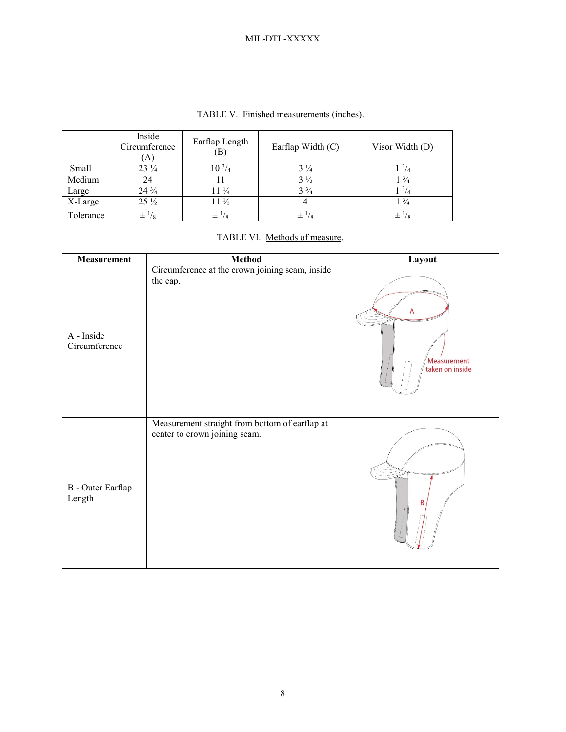|           | Inside<br>Circumference<br>(A) | Earflap Length<br>(B) | Earflap Width (C) | Visor Width (D)   |
|-----------|--------------------------------|-----------------------|-------------------|-------------------|
| Small     | $23\frac{1}{4}$                | $10^{3/4}$            | $3\frac{1}{4}$    |                   |
| Medium    | 24                             |                       | $3\frac{1}{2}$    | $1\frac{3}{4}$    |
| Large     | 24 3/4                         | $11\frac{1}{4}$       | $3\frac{3}{4}$    |                   |
| X-Large   | $25\frac{1}{2}$                | $11\frac{1}{2}$       |                   | $1\frac{3}{4}$    |
| Tolerance | $\pm \frac{1}{8}$              | $\pm \frac{1}{8}$     | $\pm \frac{1}{8}$ | $\pm \frac{1}{8}$ |

TABLE V. Finished measurements (inches).

| <b>Measurement</b>                 | Method                                                                          | Layout                              |
|------------------------------------|---------------------------------------------------------------------------------|-------------------------------------|
| A - Inside<br>Circumference        | Circumference at the crown joining seam, inside<br>the cap.                     | Α<br>Measurement<br>taken on inside |
| <b>B</b> - Outer Earflap<br>Length | Measurement straight from bottom of earflap at<br>center to crown joining seam. | B                                   |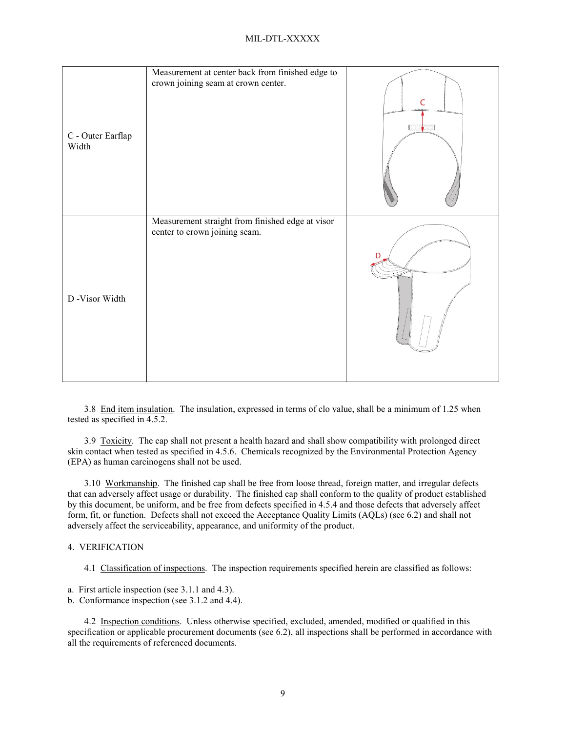| C - Outer Earflap<br>Width | Measurement at center back from finished edge to<br>crown joining seam at crown center. | <b>Lating College</b> |
|----------------------------|-----------------------------------------------------------------------------------------|-----------------------|
| D -Visor Width             | Measurement straight from finished edge at visor<br>center to crown joining seam.       | D                     |

3.8 End item insulation. The insulation, expressed in terms of clo value, shall be a minimum of 1.25 when tested as specified in 4.5.2.

3.9 Toxicity. The cap shall not present a health hazard and shall show compatibility with prolonged direct skin contact when tested as specified in 4.5.6. Chemicals recognized by the Environmental Protection Agency (EPA) as human carcinogens shall not be used.

3.10 Workmanship. The finished cap shall be free from loose thread, foreign matter, and irregular defects that can adversely affect usage or durability. The finished cap shall conform to the quality of product established by this document, be uniform, and be free from defects specified in 4.5.4 and those defects that adversely affect form, fit, or function. Defects shall not exceed the Acceptance Quality Limits (AQLs) (see 6.2) and shall not adversely affect the serviceability, appearance, and uniformity of the product.

## 4. VERIFICATION

4.1 Classification of inspections. The inspection requirements specified herein are classified as follows:

- a. First article inspection (see 3.1.1 and 4.3).
- b. Conformance inspection (see 3.1.2 and [4.4\)](#page-9-0).

4.2 Inspection conditions. Unless otherwise specified, excluded, amended, modified or qualified in this specification or applicable procurement documents (see 6.2), all inspections shall be performed in accordance with all the requirements of referenced documents.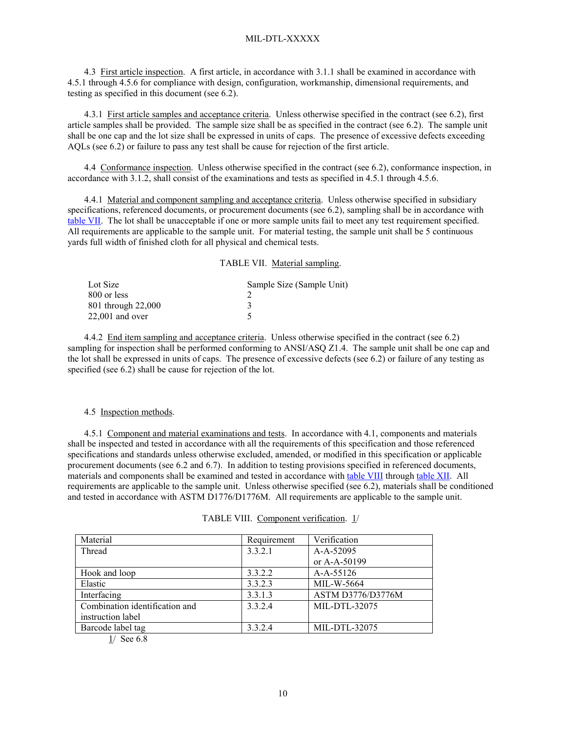4.3 First article inspection. A first article, in accordance with 3.1.1 shall be examined in accordance with [4.5.1](#page-9-1) through 4.5.6 for compliance with design, configuration, workmanship, dimensional requirements, and testing as specified in this document (see 6.2).

<span id="page-9-2"></span>4.3.1 First article samples and acceptance criteria. Unless otherwise specified in the contract (see 6.2), first article samples shall be provided. The sample size shall be as specified in the contract (see 6.2). The sample unit shall be one cap and the lot size shall be expressed in units of caps. The presence of excessive defects exceeding AQLs (see 6.2) or failure to pass any test shall be cause for rejection of the first article.

<span id="page-9-0"></span>4.4 Conformance inspection. Unless otherwise specified in the contract (see 6.2), conformance inspection, in accordance with 3.1.2, shall consist of the examinations and tests as specified in [4.5.1](#page-9-1) through 4.5.6.

<span id="page-9-3"></span>4.4.1 Material and component sampling and acceptance criteria. Unless otherwise specified in subsidiary specifications, referenced documents, or procurement documents (see 6.2), sampling shall be in accordance with table VII. The lot shall be unacceptable if one or more sample units fail to meet any test requirement specified. All requirements are applicable to the sample unit. For material testing, the sample unit shall be 5 continuous yards full width of finished cloth for all physical and chemical tests.

#### TABLE VII. Material sampling.

| Lot Size           | Sample Size (Sample Unit) |
|--------------------|---------------------------|
| 800 or less        |                           |
| 801 through 22,000 |                           |
| $22,001$ and over  |                           |

4.4.2 End item sampling and acceptance criteria. Unless otherwise specified in the contract (see 6.2) sampling for inspection shall be performed conforming to ANSI/ASQ Z1.4. The sample unit shall be one cap and the lot shall be expressed in units of caps. The presence of excessive defects (see 6.2) or failure of any testing as specified (see 6.2) shall be cause for rejection of the lot.

#### 4.5 Inspection methods.

<span id="page-9-1"></span>4.5.1 Component and material examinations and tests. In accordance with 4.1, components and materials shall be inspected and tested in accordance with all the requirements of this specification and those referenced specifications and standards unless otherwise excluded, amended, or modified in this specification or applicable procurement documents (see 6.2 and 6.7). In addition to testing provisions specified in referenced documents, materials and components shall be examined and tested in accordance with table VIII through table XII. All requirements are applicable to the sample unit. Unless otherwise specified (see 6.2), materials shall be conditioned and tested in accordance with ASTM D1776/D1776M. All requirements are applicable to the sample unit.

| Material                       | Requirement | Verification      |
|--------------------------------|-------------|-------------------|
| Thread                         | 3.3.2.1     | A-A-52095         |
|                                |             | or A-A-50199      |
| Hook and loop                  | 3.3.2.2     | A-A-55126         |
| Elastic                        | 3.3.2.3     | MIL-W-5664        |
| Interfacing                    | 3.3.1.3     | ASTM D3776/D3776M |
| Combination identification and | 3.3.2.4     | MIL-DTL-32075     |
| instruction label              |             |                   |
| Barcode label tag              | 3.3.2.4     | MIL-DTL-32075     |
| .                              |             |                   |

TABLE VIII. Component verification. 1/

1/ See 6.8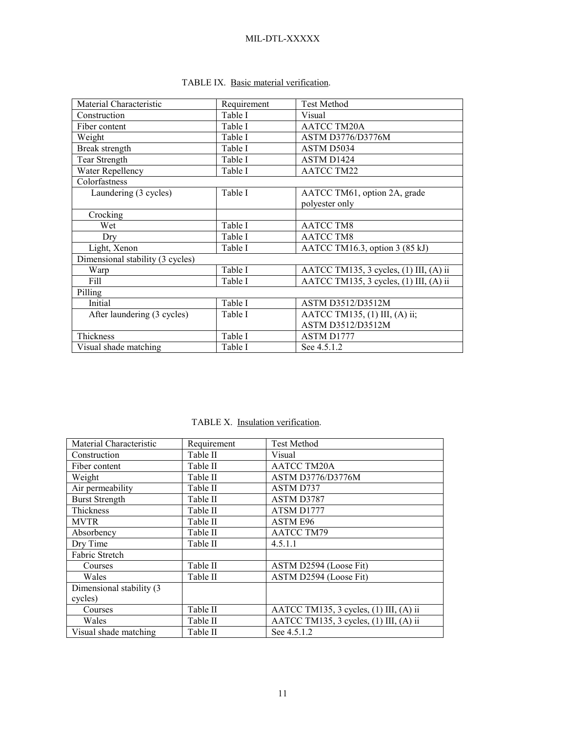| Material Characteristic          | Requirement | <b>Test Method</b>                     |  |
|----------------------------------|-------------|----------------------------------------|--|
| Construction                     | Table I     | Visual                                 |  |
| Fiber content                    | Table I     | <b>AATCC TM20A</b>                     |  |
| Weight                           | Table I     | ASTM D3776/D3776M                      |  |
| Break strength                   | Table I     | ASTM D5034                             |  |
| Tear Strength                    | Table I     | ASTM D1424                             |  |
| Water Repellency                 | Table I     | <b>AATCC TM22</b>                      |  |
| Colorfastness                    |             |                                        |  |
| Laundering (3 cycles)            | Table I     | AATCC TM61, option 2A, grade           |  |
|                                  |             | polyester only                         |  |
| Crocking                         |             |                                        |  |
| Wet                              | Table I     | <b>AATCC TM8</b>                       |  |
| Dry                              | Table I     | <b>AATCC TM8</b>                       |  |
| Light, Xenon                     | Table I     | AATCC TM16.3, option 3 (85 kJ)         |  |
| Dimensional stability (3 cycles) |             |                                        |  |
| Warp                             | Table I     | AATCC TM135, 3 cycles, (1) III, (A) ii |  |
| Fill                             | Table I     | AATCC TM135, 3 cycles, (1) III, (A) ii |  |
| Pilling                          |             |                                        |  |
| Initial                          | Table I     | ASTM D3512/D3512M                      |  |
| After laundering (3 cycles)      | Table I     | AATCC TM135, (1) III, (A) ii;          |  |
|                                  |             | ASTM D3512/D3512M                      |  |
| Thickness                        | Table I     | ASTM D1777                             |  |
| Visual shade matching            | Table I     | See 4.5.1.2                            |  |

# TABLE IX. Basic material verification.

# TABLE X. Insulation verification.

| Material Characteristic  | Requirement | <b>Test Method</b>                     |
|--------------------------|-------------|----------------------------------------|
| Construction             | Table II    | Visual                                 |
| Fiber content            | Table II    | <b>AATCC TM20A</b>                     |
| Weight                   | Table II    | ASTM D3776/D3776M                      |
| Air permeability         | Table II    | ASTM D737                              |
| <b>Burst Strength</b>    | Table II    | ASTM D3787                             |
| Thickness                | Table II    | ATSM D1777                             |
| <b>MVTR</b>              | Table II    | ASTM E96                               |
| Absorbency               | Table II    | <b>AATCC TM79</b>                      |
| Dry Time                 | Table II    | 4.5.1.1                                |
| Fabric Stretch           |             |                                        |
| Courses                  | Table II    | ASTM D2594 (Loose Fit)                 |
| Wales                    | Table II    | ASTM D2594 (Loose Fit)                 |
| Dimensional stability (3 |             |                                        |
| cycles)                  |             |                                        |
| Courses                  | Table II    | AATCC TM135, 3 cycles, (1) III, (A) ii |
| Wales                    | Table II    | AATCC TM135, 3 cycles, (1) III, (A) ii |
| Visual shade matching    | Table II    | See 4.5.1.2                            |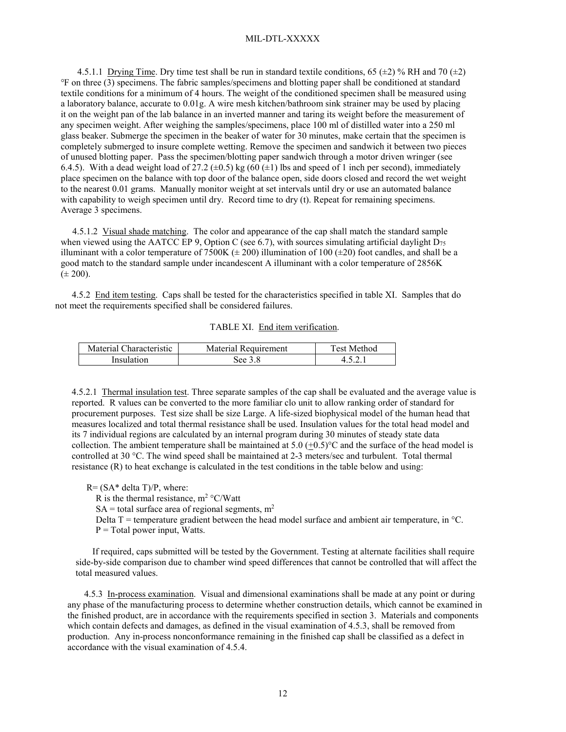4.5.1.1 Drying Time. Dry time test shall be run in standard textile conditions, 65 ( $\pm$ 2) % RH and 70 ( $\pm$ 2) ℉ on three (3) specimens. The fabric samples/specimens and blotting paper shall be conditioned at standard textile conditions for a minimum of 4 hours. The weight of the conditioned specimen shall be measured using a laboratory balance, accurate to 0.01g. A wire mesh kitchen/bathroom sink strainer may be used by placing it on the weight pan of the lab balance in an inverted manner and taring its weight before the measurement of any specimen weight. After weighing the samples/specimens, place 100 ml of distilled water into a 250 ml glass beaker. Submerge the specimen in the beaker of water for 30 minutes, make certain that the specimen is completely submerged to insure complete wetting. Remove the specimen and sandwich it between two pieces of unused blotting paper. Pass the specimen/blotting paper sandwich through a motor driven wringer (see 6.4.5). With a dead weight load of  $27.2$  ( $\pm 0.5$ ) kg (60  $(\pm 1)$  lbs and speed of 1 inch per second), immediately place specimen on the balance with top door of the balance open, side doors closed and record the wet weight to the nearest 0.01 grams. Manually monitor weight at set intervals until dry or use an automated balance with capability to weigh specimen until dry. Record time to dry (t). Repeat for remaining specimens. Average 3 specimens.

 4.5.1.2 Visual shade matching. The color and appearance of the cap shall match the standard sample when viewed using the AATCC EP 9, Option C (see 6.7), with sources simulating artificial daylight  $D_{75}$ illuminant with a color temperature of 7500K  $(\pm 200)$  illumination of 100  $(\pm 20)$  foot candles, and shall be a good match to the standard sample under incandescent A illuminant with a color temperature of 2856K  $(\pm 200).$ 

4.5.2 End item testing. Caps shall be tested for the characteristics specified in table XI. Samples that do not meet the requirements specified shall be considered failures.

#### TABLE XI. End item verification.

| Material Characteristic | Material Requirement | Test Method |
|-------------------------|----------------------|-------------|
| Insulation              | See 3.8              |             |

4.5.2.1 Thermal insulation test. Three separate samples of the cap shall be evaluated and the average value is reported. R values can be converted to the more familiar clo unit to allow ranking order of standard for procurement purposes. Test size shall be size Large. A life-sized biophysical model of the human head that measures localized and total thermal resistance shall be used. Insulation values for the total head model and its 7 individual regions are calculated by an internal program during 30 minutes of steady state data collection. The ambient temperature shall be maintained at  $5.0$  (+0.5) $\degree$ C and the surface of the head model is controlled at 30 °C. The wind speed shall be maintained at 2-3 meters/sec and turbulent. Total thermal resistance (R) to heat exchange is calculated in the test conditions in the table below and using:

 $R = (SA^*$  delta T $)/P$ , where:

R is the thermal resistance,  $m^2$  °C/Watt

 $SA =$  total surface area of regional segments,  $m<sup>2</sup>$ 

Delta T = temperature gradient between the head model surface and ambient air temperature, in  $\degree$ C.  $P = Total power input, Watts.$ 

If required, caps submitted will be tested by the Government. Testing at alternate facilities shall require side-by-side comparison due to chamber wind speed differences that cannot be controlled that will affect the total measured values.

4.5.3 In-process examination. Visual and dimensional examinations shall be made at any point or during any phase of the manufacturing process to determine whether construction details, which cannot be examined in the finished product, are in accordance with the requirements specified in section 3. Materials and components which contain defects and damages, as defined in the visual examination of 4.5.3, shall be removed from production. Any in-process nonconformance remaining in the finished cap shall be classified as a defect in accordance with the visual examination of 4.5.4.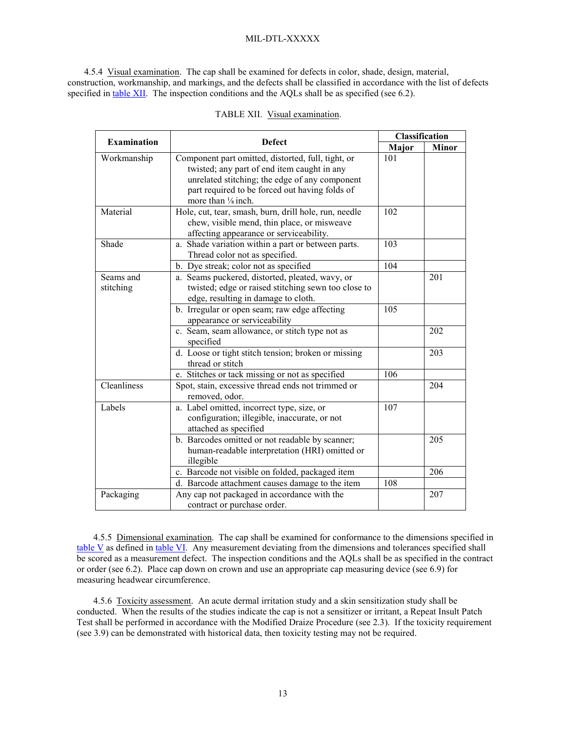4.5.4 Visual examination. The cap shall be examined for defects in color, shade, design, material, construction, workmanship, and markings, and the defects shall be classified in accordance with the list of defects specified in table XII. The inspection conditions and the AQLs shall be as specified (see 6.2).

| <b>Examination</b> | <b>Defect</b>                                         | Classification |              |
|--------------------|-------------------------------------------------------|----------------|--------------|
|                    |                                                       | Major          | <b>Minor</b> |
| Workmanship        | Component part omitted, distorted, full, tight, or    | 101            |              |
|                    | twisted; any part of end item caught in any           |                |              |
|                    | unrelated stitching; the edge of any component        |                |              |
|                    | part required to be forced out having folds of        |                |              |
|                    | more than 1/8 inch.                                   |                |              |
| Material           | Hole, cut, tear, smash, burn, drill hole, run, needle | 102            |              |
|                    | chew, visible mend, thin place, or misweave           |                |              |
|                    | affecting appearance or serviceability.               |                |              |
| Shade              | a. Shade variation within a part or between parts.    | 103            |              |
|                    | Thread color not as specified.                        |                |              |
|                    | b. Dye streak; color not as specified                 | 104            |              |
| Seams and          | a. Seams puckered, distorted, pleated, wavy, or       |                | 201          |
| stitching          | twisted; edge or raised stitching sewn too close to   |                |              |
|                    | edge, resulting in damage to cloth.                   |                |              |
|                    | b. Irregular or open seam; raw edge affecting         | 105            |              |
|                    | appearance or serviceability                          |                |              |
|                    | c. Seam, seam allowance, or stitch type not as        |                | 202          |
|                    | specified                                             |                |              |
|                    | d. Loose or tight stitch tension; broken or missing   |                | 203          |
|                    | thread or stitch                                      |                |              |
|                    | e. Stitches or tack missing or not as specified       | 106            |              |
| Cleanliness        | Spot, stain, excessive thread ends not trimmed or     |                | 204          |
|                    | removed, odor.                                        |                |              |
| Labels             | a. Label omitted, incorrect type, size, or            | 107            |              |
|                    | configuration; illegible, inaccurate, or not          |                |              |
|                    | attached as specified                                 |                |              |
|                    | b. Barcodes omitted or not readable by scanner;       |                | 205          |
|                    | human-readable interpretation (HRI) omitted or        |                |              |
|                    | illegible                                             |                |              |
|                    | c. Barcode not visible on folded, packaged item       |                | 206          |
|                    | d. Barcode attachment causes damage to the item       | 108            |              |
| Packaging          | Any cap not packaged in accordance with the           |                | 207          |
|                    | contract or purchase order.                           |                |              |

#### TABLE XII. Visual examination.

4.5.5 Dimensional examination. The cap shall be examined for conformance to the dimensions specified in  $table V$  as defined in table VI. Any measurement deviating from the dimensions and tolerances specified shall</u> be scored as a measurement defect. The inspection conditions and the AQLs shall be as specified in the contract or order (see 6.2). Place cap down on crown and use an appropriate cap measuring device (see 6.9) for measuring headwear circumference.

4.5.6 Toxicity assessment. An acute dermal irritation study and a skin sensitization study shall be conducted. When the results of the studies indicate the cap is not a sensitizer or irritant, a Repeat Insult Patch Test shall be performed in accordance with the Modified Draize Procedure (see 2.3). If the toxicity requirement (see 3.9) can be demonstrated with historical data, then toxicity testing may not be required.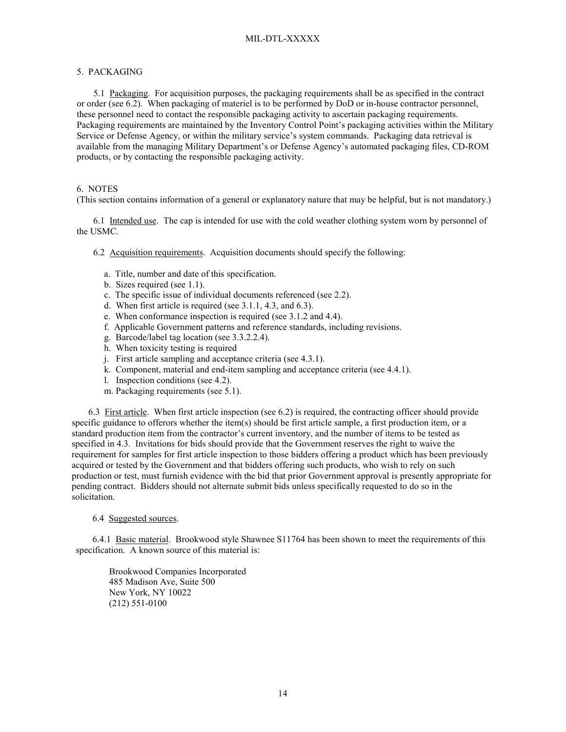## 5. PACKAGING

5.1 Packaging. For acquisition purposes, the packaging requirements shall be as specified in the contract or order (see 6.2). When packaging of materiel is to be performed by DoD or in-house contractor personnel, these personnel need to contact the responsible packaging activity to ascertain packaging requirements. Packaging requirements are maintained by the Inventory Control Point's packaging activities within the Military Service or Defense Agency, or within the military service's system commands. Packaging data retrieval is available from the managing Military Department's or Defense Agency's automated packaging files, CD-ROM products, or by contacting the responsible packaging activity.

#### 6. NOTES

(This section contains information of a general or explanatory nature that may be helpful, but is not mandatory.)

6.1 Intended use. The cap is intended for use with the cold weather clothing system worn by personnel of the USMC.

- 6.2 Acquisition requirements. Acquisition documents should specify the following:
	- a. Title, number and date of this specification.
	- b. Sizes required (see [1.1\)](#page-0-0).
	- c. The specific issue of individual documents referenced (see 2.2).
	- d. When first article is required (see 3.1.1, 4.3, and 6.3).
	- e. When conformance inspection is required (see 3.1.2 and [4.4\)](#page-9-0).
	- f. Applicable Government patterns and reference standards, including revisions.
	- g. Barcode/label tag location (see 3.3.2.2.4).
	- h. When toxicity testing is required
	- j. First article sampling and acceptance criteria (se[e 4.3.1\)](#page-9-2).
	- k. Component, material and end-item sampling and acceptance criteria (see [4.4.1\)](#page-9-3).
	- l. Inspection conditions (see 4.2).
	- m. Packaging requirements (see 5.1).

6.3 First article. When first article inspection (see 6.2) is required, the contracting officer should provide specific guidance to offerors whether the item(s) should be first article sample, a first production item, or a standard production item from the contractor's current inventory, and the number of items to be tested as specified in 4.3. Invitations for bids should provide that the Government reserves the right to waive the requirement for samples for first article inspection to those bidders offering a product which has been previously acquired or tested by the Government and that bidders offering such products, who wish to rely on such production or test, must furnish evidence with the bid that prior Government approval is presently appropriate for pending contract. Bidders should not alternate submit bids unless specifically requested to do so in the solicitation.

#### 6.4 Suggested sources.

6.4.1 Basic material. Brookwood style Shawnee S11764 has been shown to meet the requirements of this specification. A known source of this material is:

Brookwood Companies Incorporated 485 Madison Ave, Suite 500 New York, NY 10022 (212) 551-0100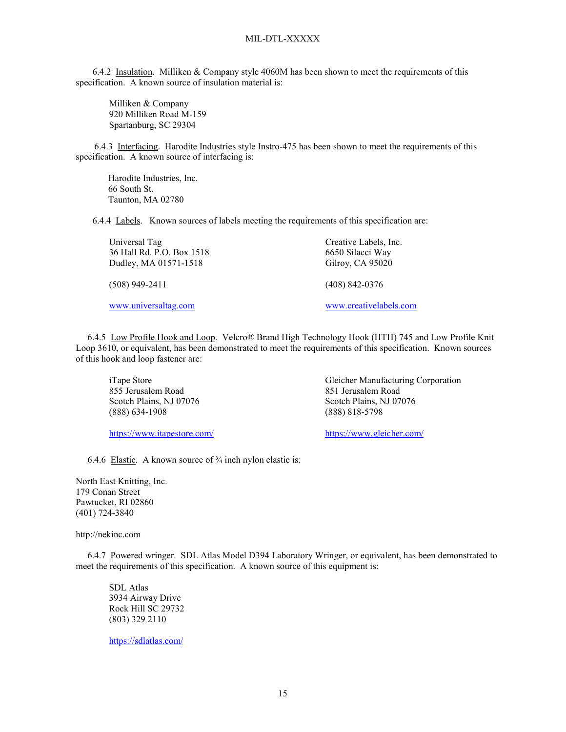6.4.2 Insulation. Milliken & Company style 4060M has been shown to meet the requirements of this specification. A known source of insulation material is:

Milliken & Company 920 Milliken Road M-159 Spartanburg, SC 29304

 6.4.3 Interfacing. Harodite Industries style Instro-475 has been shown to meet the requirements of this specification. A known source of interfacing is:

 Harodite Industries, Inc. 66 South St. Taunton, MA 02780

6.4.4 Labels. Known sources of labels meeting the requirements of this specification are:

| Universal Tag             | Creative Labels, Inc.  |
|---------------------------|------------------------|
| 36 Hall Rd. P.O. Box 1518 | 6650 Silacci Way       |
| Dudley, MA 01571-1518     | Gilroy, CA 95020       |
| $(508)$ 949-2411          | $(408)$ 842-0376       |
| www.universaltag.com      | www.creativelabels.com |

 6.4.5 Low Profile Hook and Loop. Velcro® Brand High Technology Hook (HTH) 745 and Low Profile Knit Loop 3610, or equivalent, has been demonstrated to meet the requirements of this specification. Known sources of this hook and loop fastener are:

iTape Store 855 Jerusalem Road Scotch Plains, NJ 07076 [\(888\) 634-1908](tel:+18886341908)

<https://www.itapestore.com/>

Gleicher Manufacturing Corporation 851 Jerusalem Road Scotch Plains, NJ 07076 (888) 818-5798

[https://www.gleicher.com/](https://www.gleicher.com/velcro/hook-and-loop) 

6.4.6 Elastic. A known source of  $\frac{3}{4}$  inch nylon elastic is:

North East Knitting, Inc. 179 Conan Street Pawtucket, RI 02860 (401) 724-3840

http://nekinc.com

 6.4.7 Powered wringer. SDL Atlas Model D394 Laboratory Wringer, or equivalent, has been demonstrated to meet the requirements of this specification. A known source of this equipment is:

SDL Atlas 3934 Airway Drive Rock Hill SC 29732 (803) 329 2110

<https://sdlatlas.com/>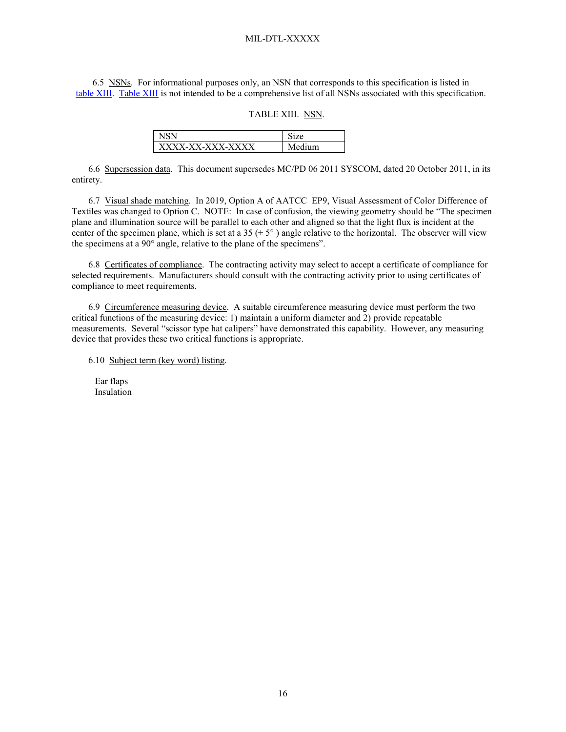6.5 NSNs. For informational purposes only, an NSN that corresponds to this specification is listed in table XIII. Table XIII is not intended to be a comprehensive list of all NSNs associated with this specification.

#### TABLE XIII. NSN.

| <b>XXX</b><br>XXXX-XX-XXX-X <sup>-</sup> | $\mathbf{m}$ |
|------------------------------------------|--------------|

6.6 Supersession data. This document supersedes MC/PD 06 2011 SYSCOM, dated 20 October 2011, in its entirety.

6.7 Visual shade matching. In 2019, Option A of AATCC EP9, Visual Assessment of Color Difference of Textiles was changed to Option C. NOTE: In case of confusion, the viewing geometry should be "The specimen plane and illumination source will be parallel to each other and aligned so that the light flux is incident at the center of the specimen plane, which is set at a 35 ( $\pm$  5 $^{\circ}$ ) angle relative to the horizontal. The observer will view the specimens at a 90° angle, relative to the plane of the specimens".

6.8 Certificates of compliance. The contracting activity may select to accept a certificate of compliance for selected requirements. Manufacturers should consult with the contracting activity prior to using certificates of compliance to meet requirements.

6.9 Circumference measuring device. A suitable circumference measuring device must perform the two critical functions of the measuring device: 1) maintain a uniform diameter and 2) provide repeatable measurements. Several "scissor type hat calipers" have demonstrated this capability. However, any measuring device that provides these two critical functions is appropriate.

6.10 Subject term (key word) listing.

 Ear flaps Insulation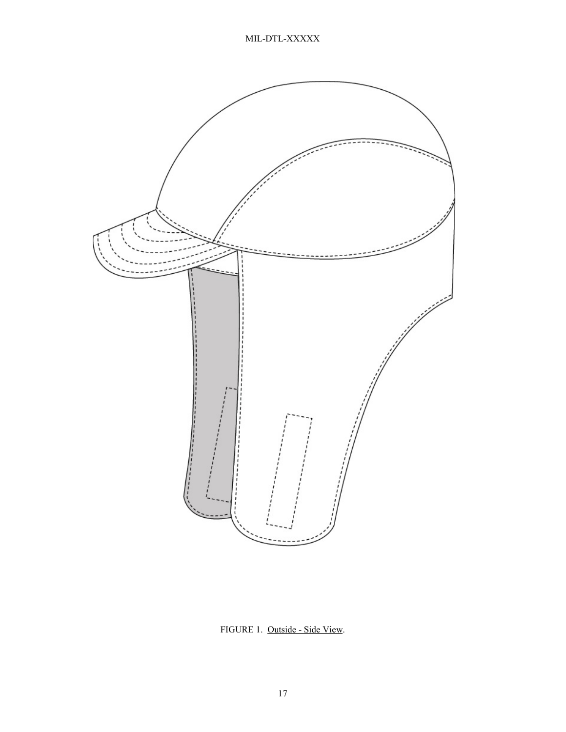

<span id="page-16-0"></span>FIGURE 1. Outside - Side View.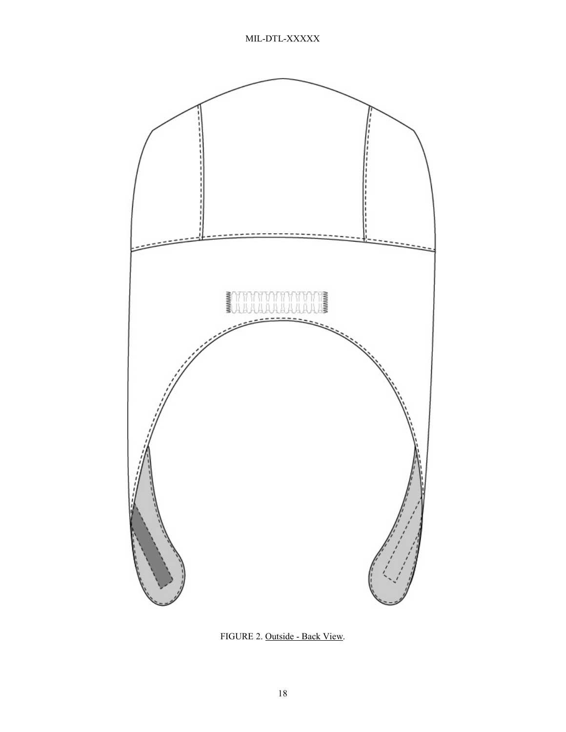

FIGURE 2. Outside - Back View.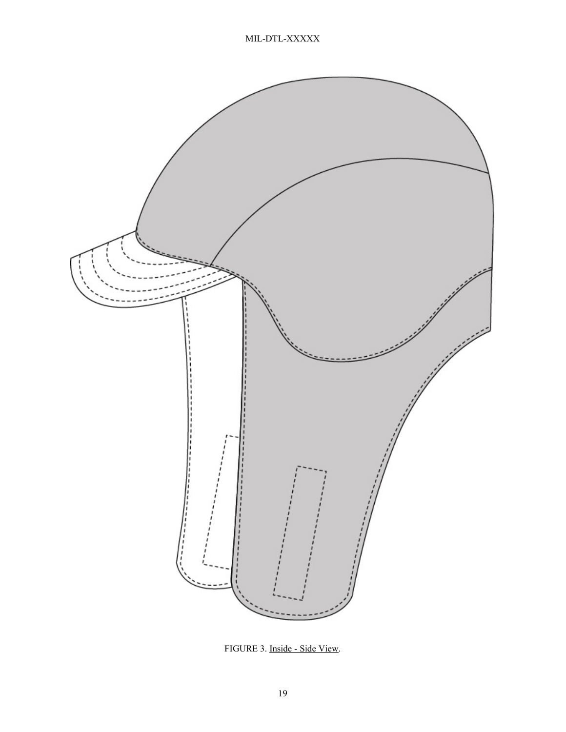

FIGURE 3. Inside - Side View.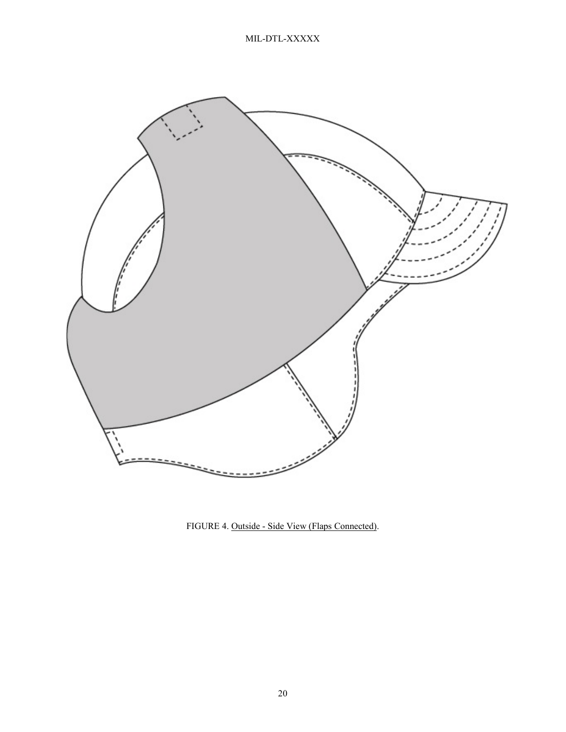

FIGURE 4. Outside - Side View (Flaps Connected).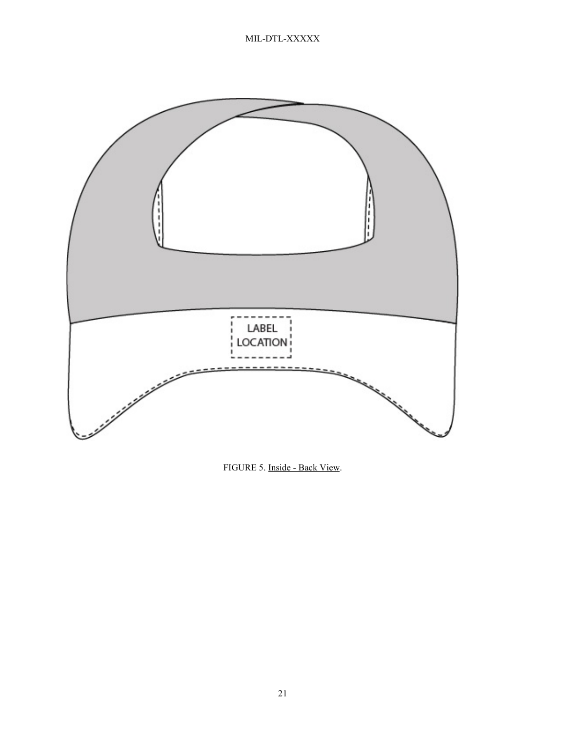

FIGURE 5. Inside - Back View.